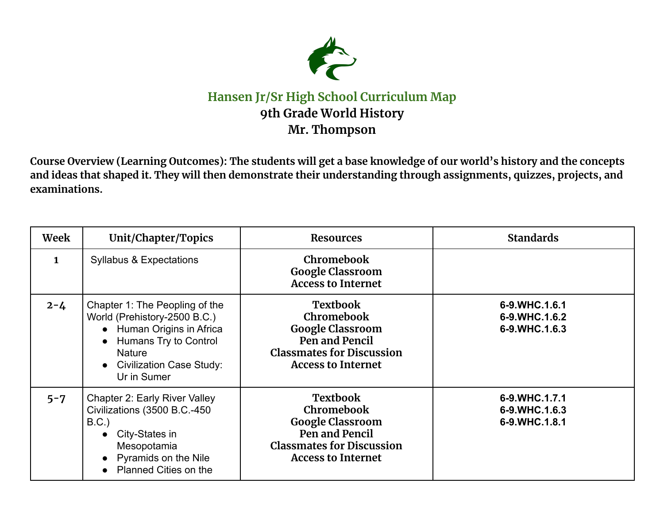

## **Hansen Jr/Sr High School Curriculum Map 9th Grade World History Mr. Thompson**

Course Overview (Learning Outcomes): The students will get a base knowledge of our world's history and the concepts and ideas that shaped it. They will then demonstrate their understanding through assignments, quizzes, projects, and **examinations.**

| Week         | Unit/Chapter/Topics                                                                                                                                                                  | <b>Resources</b>                                                                                                                                   | <b>Standards</b>                                |
|--------------|--------------------------------------------------------------------------------------------------------------------------------------------------------------------------------------|----------------------------------------------------------------------------------------------------------------------------------------------------|-------------------------------------------------|
| $\mathbf{1}$ | <b>Syllabus &amp; Expectations</b>                                                                                                                                                   | <b>Chromebook</b><br><b>Google Classroom</b><br><b>Access to Internet</b>                                                                          |                                                 |
| $2 - 4$      | Chapter 1: The Peopling of the<br>World (Prehistory-2500 B.C.)<br>• Human Origins in Africa<br>• Humans Try to Control<br><b>Nature</b><br>• Civilization Case Study:<br>Ur in Sumer | <b>Textbook</b><br>Chromebook<br><b>Google Classroom</b><br>Pen and Pencil<br><b>Classmates for Discussion</b><br><b>Access to Internet</b>        | 6-9.WHC.1.6.1<br>6-9.WHC.1.6.2<br>6-9.WHC.1.6.3 |
| $5 - 7$      | <b>Chapter 2: Early River Valley</b><br>Civilizations (3500 B.C.-450<br>$B.C.$ )<br>City-States in<br>$\bullet$<br>Mesopotamia<br>• Pyramids on the Nile<br>• Planned Cities on the  | <b>Textbook</b><br><b>Chromebook</b><br><b>Google Classroom</b><br>Pen and Pencil<br><b>Classmates for Discussion</b><br><b>Access to Internet</b> | 6-9.WHC.1.7.1<br>6-9.WHC.1.6.3<br>6-9.WHC.1.8.1 |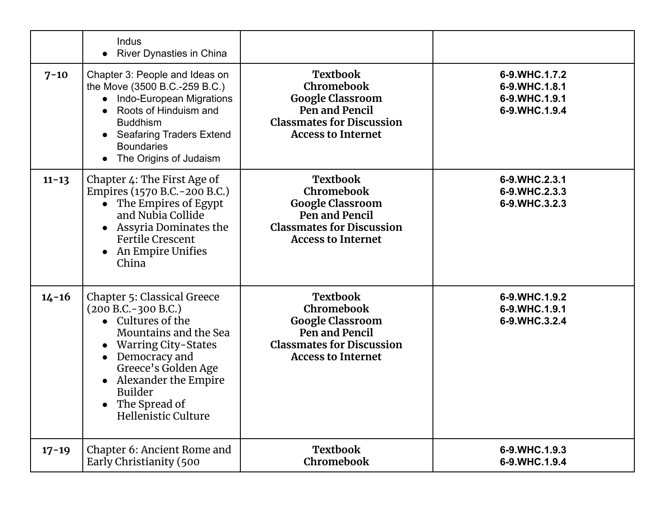|           | Indus<br>River Dynasties in China                                                                                                                                                                                                                                 |                                                                                                                                             |                                                                  |
|-----------|-------------------------------------------------------------------------------------------------------------------------------------------------------------------------------------------------------------------------------------------------------------------|---------------------------------------------------------------------------------------------------------------------------------------------|------------------------------------------------------------------|
| $7 - 10$  | Chapter 3: People and Ideas on<br>the Move (3500 B.C.-259 B.C.)<br>Indo-European Migrations<br>$\bullet$<br>Roots of Hinduism and<br><b>Buddhism</b><br><b>Seafaring Traders Extend</b><br><b>Boundaries</b><br>The Origins of Judaism                            | <b>Textbook</b><br>Chromebook<br><b>Google Classroom</b><br>Pen and Pencil<br><b>Classmates for Discussion</b><br><b>Access to Internet</b> | 6-9.WHC.1.7.2<br>6-9.WHC.1.8.1<br>6-9.WHC.1.9.1<br>6-9.WHC.1.9.4 |
| $11 - 13$ | Chapter 4: The First Age of<br>Empires (1570 B.C. - 200 B.C.)<br>The Empires of Egypt<br>$\bullet$<br>and Nubia Collide<br>Assyria Dominates the<br>$\bullet$<br><b>Fertile Crescent</b><br>An Empire Unifies<br>China                                            | <b>Textbook</b><br>Chromebook<br><b>Google Classroom</b><br>Pen and Pencil<br><b>Classmates for Discussion</b><br><b>Access to Internet</b> | 6-9.WHC.2.3.1<br>6-9.WHC.2.3.3<br>6-9.WHC.3.2.3                  |
| $14 - 16$ | <b>Chapter 5: Classical Greece</b><br>$(200 B.C.-300 B.C.)$<br>• Cultures of the<br>Mountains and the Sea<br><b>Warring City-States</b><br>Democracy and<br>Greece's Golden Age<br>Alexander the Empire<br><b>Builder</b><br>The Spread of<br>Hellenistic Culture | <b>Textbook</b><br>Chromebook<br><b>Google Classroom</b><br>Pen and Pencil<br><b>Classmates for Discussion</b><br><b>Access to Internet</b> | 6-9.WHC.1.9.2<br>6-9.WHC.1.9.1<br>6-9.WHC.3.2.4                  |
| $17 - 19$ | Chapter 6: Ancient Rome and<br>Early Christianity (500                                                                                                                                                                                                            | <b>Textbook</b><br><b>Chromebook</b>                                                                                                        | 6-9.WHC.1.9.3<br>6-9.WHC.1.9.4                                   |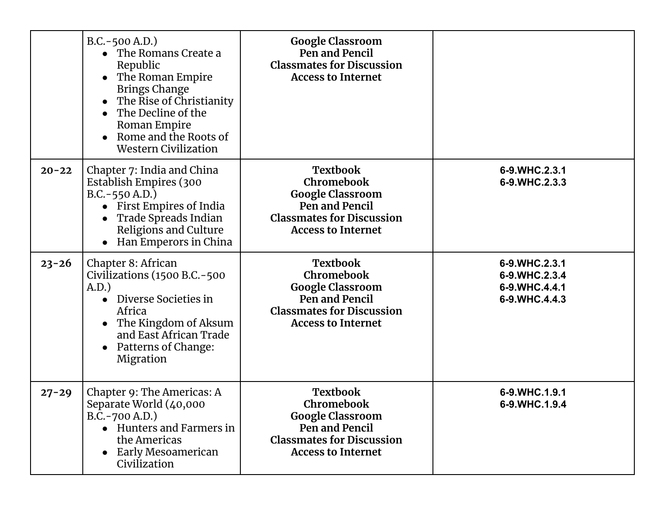|           | $B.C.-500 A.D.)$<br>The Romans Create a<br>$\bullet$<br>Republic<br>The Roman Empire<br><b>Brings Change</b><br>The Rise of Christianity<br>The Decline of the<br>$\bullet$<br>Roman Empire<br>Rome and the Roots of<br><b>Western Civilization</b> | <b>Google Classroom</b><br>Pen and Pencil<br><b>Classmates for Discussion</b><br><b>Access to Internet</b>                                  |                                                                  |
|-----------|-----------------------------------------------------------------------------------------------------------------------------------------------------------------------------------------------------------------------------------------------------|---------------------------------------------------------------------------------------------------------------------------------------------|------------------------------------------------------------------|
| $20 - 22$ | Chapter 7: India and China<br>Establish Empires (300<br>$B.C.-550 A.D.)$<br>First Empires of India<br>Trade Spreads Indian<br>Religions and Culture<br>Han Emperors in China                                                                        | <b>Textbook</b><br>Chromebook<br><b>Google Classroom</b><br>Pen and Pencil<br><b>Classmates for Discussion</b><br><b>Access to Internet</b> | 6-9.WHC.2.3.1<br>6-9.WHC.2.3.3                                   |
| $23 - 26$ | Chapter 8: African<br>Civilizations (1500 B.C.-500<br>A.D.<br>Diverse Societies in<br>$\bullet$<br>Africa<br>The Kingdom of Aksum<br>$\bullet$<br>and East African Trade<br>Patterns of Change:<br>Migration                                        | <b>Textbook</b><br>Chromebook<br><b>Google Classroom</b><br>Pen and Pencil<br><b>Classmates for Discussion</b><br><b>Access to Internet</b> | 6-9.WHC.2.3.1<br>6-9.WHC.2.3.4<br>6-9.WHC.4.4.1<br>6-9.WHC.4.4.3 |
| $27 - 29$ | Chapter 9: The Americas: A<br>Separate World (40,000<br>$B.C.-700 A.D.)$<br>• Hunters and Farmers in<br>the Americas<br>• Early Mesoamerican<br>Civilization                                                                                        | <b>Textbook</b><br>Chromebook<br><b>Google Classroom</b><br>Pen and Pencil<br><b>Classmates for Discussion</b><br><b>Access to Internet</b> | 6-9.WHC.1.9.1<br>6-9.WHC.1.9.4                                   |